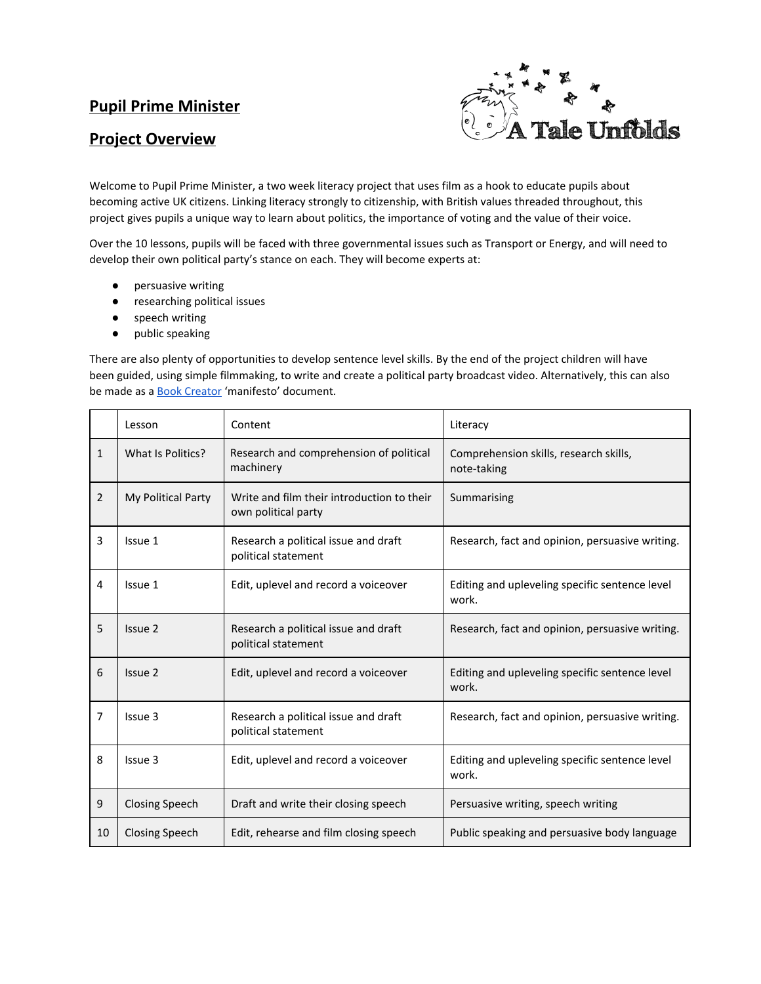## **Pupil Prime Minister**

## **Project Overview**



Welcome to Pupil Prime Minister, a two week literacy project that uses film as a hook to educate pupils about becoming active UK citizens. Linking literacy strongly to citizenship, with British values threaded throughout, this project gives pupils a unique way to learn about politics, the importance of voting and the value of their voice.

Over the 10 lessons, pupils will be faced with three governmental issues such as Transport or Energy, and will need to develop their own political party's stance on each. They will become experts at:

- persuasive writing
- researching political issues
- speech writing
- public speaking

There are also plenty of opportunities to develop sentence level skills. By the end of the project children will have been guided, using simple filmmaking, to write and create a political party broadcast video. Alternatively, this can also be made as a **Book Creator** 'manifesto' document.

|                | Lesson                | Content                                                           | Literacy                                                |
|----------------|-----------------------|-------------------------------------------------------------------|---------------------------------------------------------|
| $\mathbf{1}$   | What Is Politics?     | Research and comprehension of political<br>machinery              | Comprehension skills, research skills,<br>note-taking   |
| $\overline{2}$ | My Political Party    | Write and film their introduction to their<br>own political party | Summarising                                             |
| 3              | Issue 1               | Research a political issue and draft<br>political statement       | Research, fact and opinion, persuasive writing.         |
| 4              | Issue 1               | Edit, uplevel and record a voiceover                              | Editing and upleveling specific sentence level<br>work. |
| 5              | Issue 2               | Research a political issue and draft<br>political statement       | Research, fact and opinion, persuasive writing.         |
| 6              | Issue 2               | Edit, uplevel and record a voiceover                              | Editing and upleveling specific sentence level<br>work. |
| $\overline{7}$ | Issue 3               | Research a political issue and draft<br>political statement       | Research, fact and opinion, persuasive writing.         |
| 8              | Issue 3               | Edit, uplevel and record a voiceover                              | Editing and upleveling specific sentence level<br>work. |
| 9              | <b>Closing Speech</b> | Draft and write their closing speech                              | Persuasive writing, speech writing                      |
| 10             | <b>Closing Speech</b> | Edit, rehearse and film closing speech                            | Public speaking and persuasive body language            |